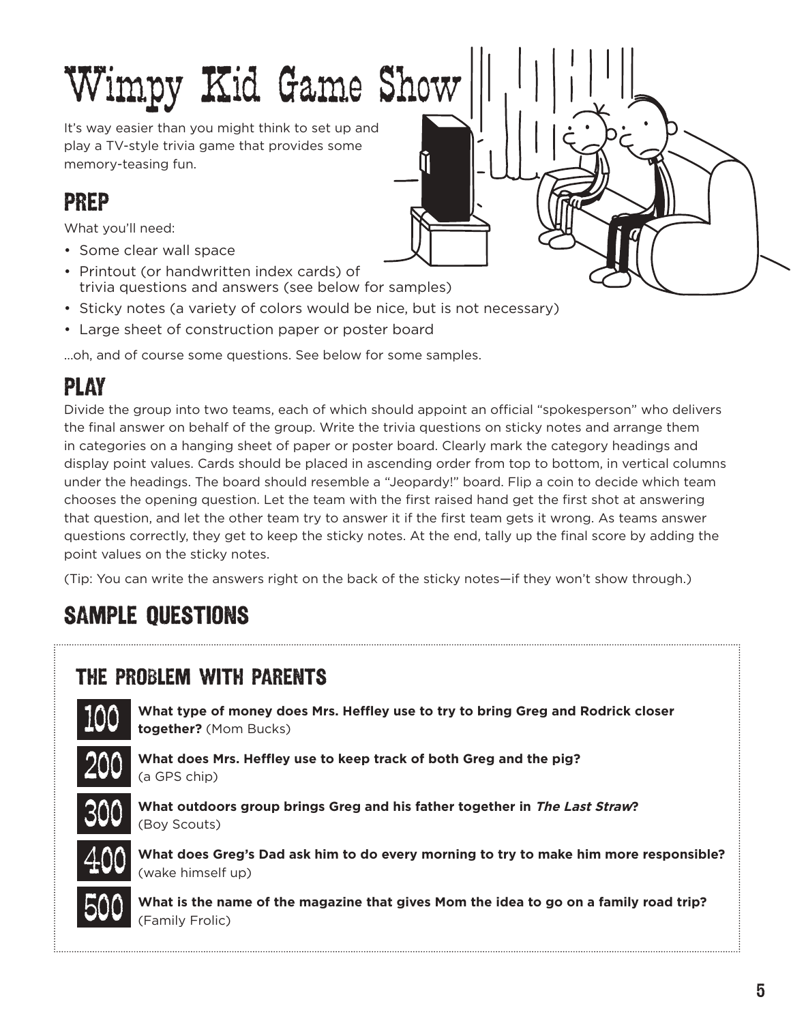# Wimpy Kid Game Show It's way easier than you might think to set up and

play a TV-style trivia game that provides some memory-teasing fun.

### PREP

What you'll need:

- Some clear wall space
- Printout (or handwritten index cards) of trivia questions and answers (see below for samples)
- Sticky notes (a variety of colors would be nice, but is not necessary)
- Large sheet of construction paper or poster board

...oh, and of course some questions. See below for some samples.

## PLAY

Divide the group into two teams, each of which should appoint an official "spokesperson" who delivers the final answer on behalf of the group. Write the trivia questions on sticky notes and arrange them in categories on a hanging sheet of paper or poster board. Clearly mark the category headings and display point values. Cards should be placed in ascending order from top to bottom, in vertical columns under the headings. The board should resemble a "Jeopardy!" board. Flip a coin to decide which team chooses the opening question. Let the team with the first raised hand get the first shot at answering that question, and let the other team try to answer it if the first team gets it wrong. As teams answer questions correctly, they get to keep the sticky notes. At the end, tally up the final score by adding the point values on the sticky notes.

(Tip: You can write the answers right on the back of the sticky notes—if they won't show through.)

## SAMPLE QUESTIONS

#### THE PROBLEM WITH PARENTS



**What type of money does Mrs. Heffley use to try to bring Greg and Rodrick closer together?** (Mom Bucks)



**What does Mrs. Heffley use to keep track of both Greg and the pig?**  (a GPS chip)



**What outdoors group brings Greg and his father together in The Last Straw?** (Boy Scouts)



**What does Greg's Dad ask him to do every morning to try to make him more responsible?**  (wake himself up)



**What is the name of the magazine that gives Mom the idea to go on a family road trip?** (Family Frolic)